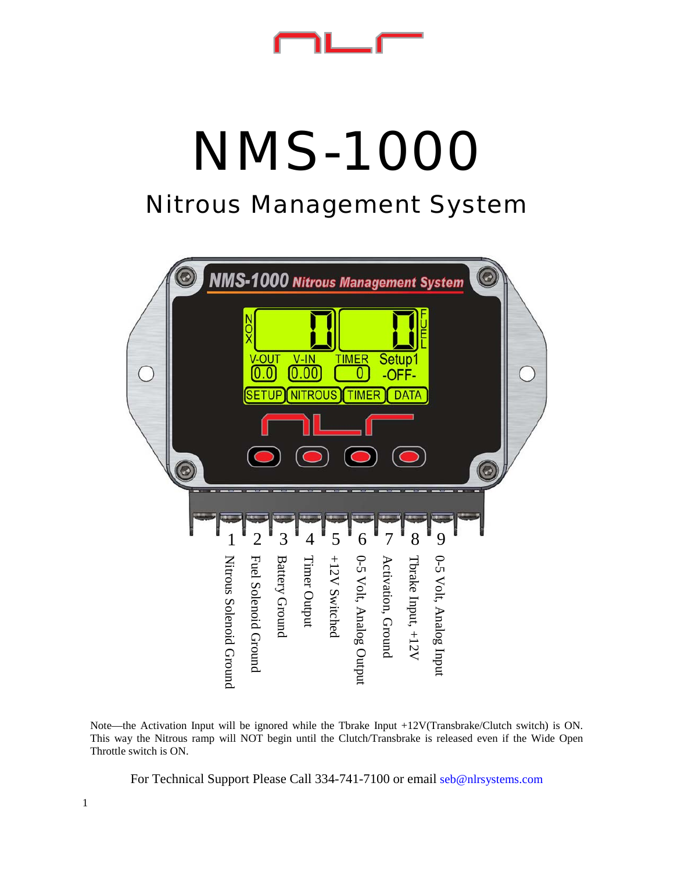# *NMS-1000*

## *Nitrous Management System*



Note—the Activation Input will be ignored while the Tbrake Input +12V(Transbrake/Clutch switch) is ON. This way the Nitrous ramp will NOT begin until the Clutch/Transbrake is released even if the Wide Open Throttle switch is ON.

For Technical Support Please Call 334-741-7100 or email seb@nlrsystems.com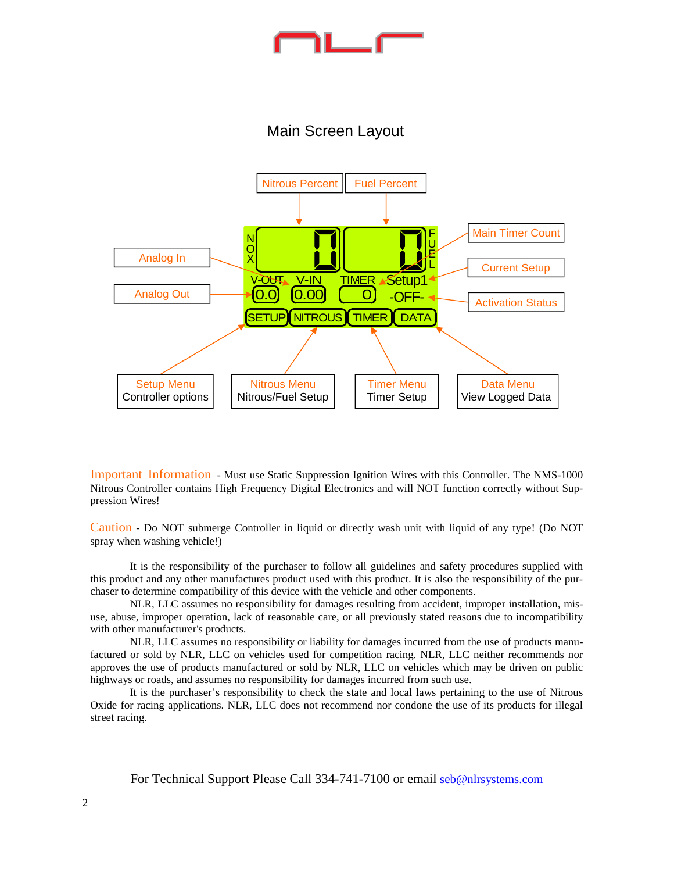### Main Screen Layout



Important Information - Must use Static Suppression Ignition Wires with this Controller. The NMS-1000 Nitrous Controller contains High Frequency Digital Electronics and will NOT function correctly without Suppression Wires!

Caution - Do NOT submerge Controller in liquid or directly wash unit with liquid of any type! (Do NOT spray when washing vehicle!)

 It is the responsibility of the purchaser to follow all guidelines and safety procedures supplied with this product and any other manufactures product used with this product. It is also the responsibility of the purchaser to determine compatibility of this device with the vehicle and other components.

 NLR, LLC assumes no responsibility for damages resulting from accident, improper installation, misuse, abuse, improper operation, lack of reasonable care, or all previously stated reasons due to incompatibility with other manufacturer's products.

 NLR, LLC assumes no responsibility or liability for damages incurred from the use of products manufactured or sold by NLR, LLC on vehicles used for competition racing. NLR, LLC neither recommends nor approves the use of products manufactured or sold by NLR, LLC on vehicles which may be driven on public highways or roads, and assumes no responsibility for damages incurred from such use.

 It is the purchaser's responsibility to check the state and local laws pertaining to the use of Nitrous Oxide for racing applications. NLR, LLC does not recommend nor condone the use of its products for illegal street racing.

For Technical Support Please Call 334-741-7100 or email seb@nlrsystems.com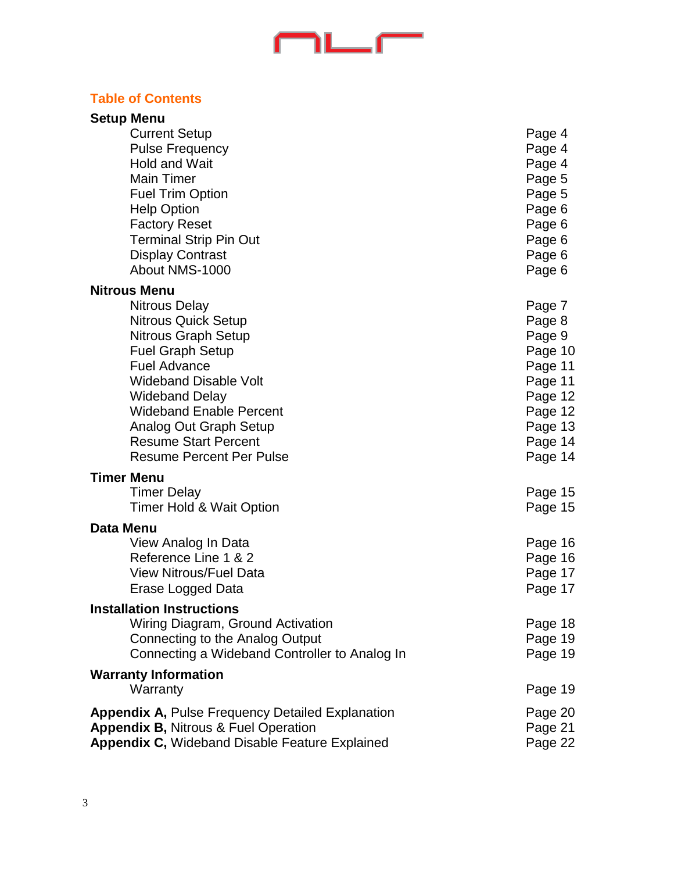# 

### **Table of Contents**

| <b>Setup Menu</b>                                       |         |
|---------------------------------------------------------|---------|
| <b>Current Setup</b>                                    | Page 4  |
| <b>Pulse Frequency</b>                                  | Page 4  |
| <b>Hold and Wait</b>                                    | Page 4  |
| <b>Main Timer</b>                                       | Page 5  |
| <b>Fuel Trim Option</b>                                 | Page 5  |
| <b>Help Option</b>                                      | Page 6  |
| <b>Factory Reset</b>                                    | Page 6  |
| <b>Terminal Strip Pin Out</b>                           | Page 6  |
| <b>Display Contrast</b>                                 | Page 6  |
| About NMS-1000                                          | Page 6  |
| <b>Nitrous Menu</b>                                     |         |
| <b>Nitrous Delay</b>                                    | Page 7  |
| <b>Nitrous Quick Setup</b>                              | Page 8  |
| Nitrous Graph Setup                                     | Page 9  |
| <b>Fuel Graph Setup</b>                                 | Page 10 |
| <b>Fuel Advance</b>                                     | Page 11 |
| <b>Wideband Disable Volt</b>                            | Page 11 |
| <b>Wideband Delay</b>                                   | Page 12 |
| <b>Wideband Enable Percent</b>                          | Page 12 |
| Analog Out Graph Setup                                  | Page 13 |
| <b>Resume Start Percent</b>                             | Page 14 |
| <b>Resume Percent Per Pulse</b>                         | Page 14 |
| <b>Timer Menu</b>                                       |         |
| <b>Timer Delay</b>                                      | Page 15 |
| Timer Hold & Wait Option                                | Page 15 |
| <b>Data Menu</b>                                        |         |
| View Analog In Data                                     | Page 16 |
| Reference Line 1 & 2                                    | Page 16 |
| <b>View Nitrous/Fuel Data</b>                           | Page 17 |
| Erase Logged Data                                       | Page 17 |
| <b>Installation Instructions</b>                        |         |
| Wiring Diagram, Ground Activation                       | Page 18 |
| Connecting to the Analog Output                         | Page 19 |
| Connecting a Wideband Controller to Analog In           | Page 19 |
| <b>Warranty Information</b>                             |         |
| Warranty                                                | Page 19 |
| <b>Appendix A, Pulse Frequency Detailed Explanation</b> | Page 20 |
| <b>Appendix B, Nitrous &amp; Fuel Operation</b>         | Page 21 |
| Appendix C, Wideband Disable Feature Explained          | Page 22 |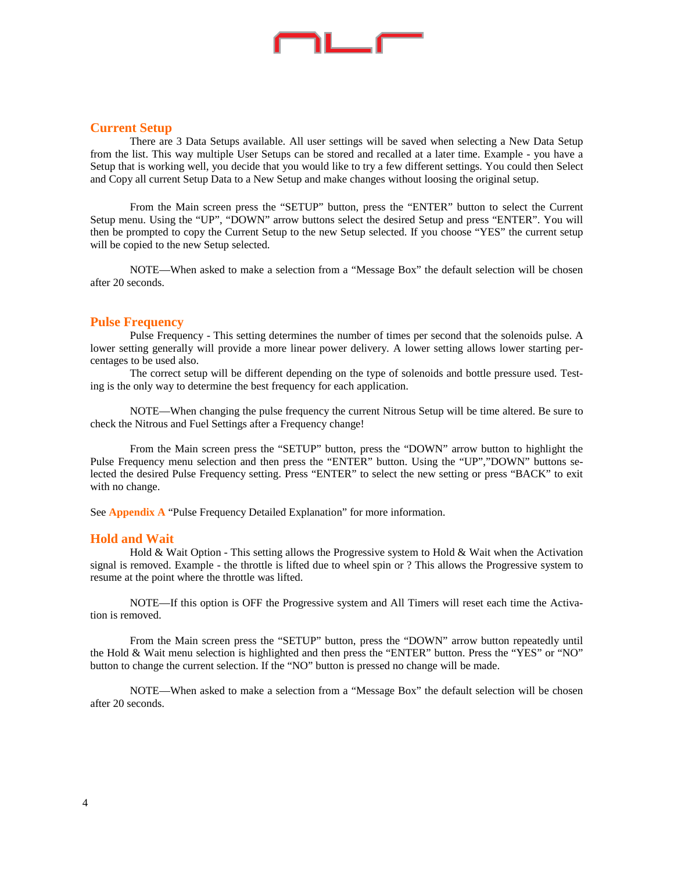# $1 - 7$

#### **Current Setup**

 There are 3 Data Setups available. All user settings will be saved when selecting a New Data Setup from the list. This way multiple User Setups can be stored and recalled at a later time. Example - you have a Setup that is working well, you decide that you would like to try a few different settings. You could then Select and Copy all current Setup Data to a New Setup and make changes without loosing the original setup.

 From the Main screen press the "SETUP" button, press the "ENTER" button to select the Current Setup menu. Using the "UP", "DOWN" arrow buttons select the desired Setup and press "ENTER". You will then be prompted to copy the Current Setup to the new Setup selected. If you choose "YES" the current setup will be copied to the new Setup selected.

 NOTE—When asked to make a selection from a "Message Box" the default selection will be chosen after 20 seconds.

#### **Pulse Frequency**

 Pulse Frequency - This setting determines the number of times per second that the solenoids pulse. A lower setting generally will provide a more linear power delivery. A lower setting allows lower starting percentages to be used also.

 The correct setup will be different depending on the type of solenoids and bottle pressure used. Testing is the only way to determine the best frequency for each application.

 NOTE—When changing the pulse frequency the current Nitrous Setup will be time altered. Be sure to check the Nitrous and Fuel Settings after a Frequency change!

 From the Main screen press the "SETUP" button, press the "DOWN" arrow button to highlight the Pulse Frequency menu selection and then press the "ENTER" button. Using the "UP","DOWN" buttons selected the desired Pulse Frequency setting. Press "ENTER" to select the new setting or press "BACK" to exit with no change.

See **Appendix A** "Pulse Frequency Detailed Explanation" for more information.

#### **Hold and Wait**

 Hold & Wait Option - This setting allows the Progressive system to Hold & Wait when the Activation signal is removed. Example - the throttle is lifted due to wheel spin or ? This allows the Progressive system to resume at the point where the throttle was lifted.

 NOTE—If this option is OFF the Progressive system and All Timers will reset each time the Activation is removed.

 From the Main screen press the "SETUP" button, press the "DOWN" arrow button repeatedly until the Hold & Wait menu selection is highlighted and then press the "ENTER" button. Press the "YES" or "NO" button to change the current selection. If the "NO" button is pressed no change will be made.

 NOTE—When asked to make a selection from a "Message Box" the default selection will be chosen after 20 seconds.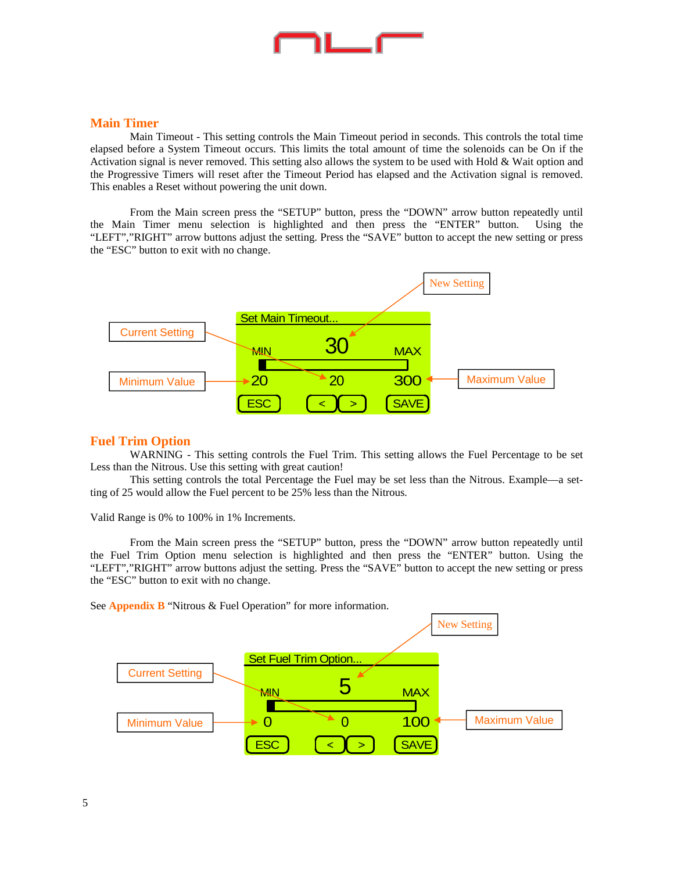#### **Main Timer**

 Main Timeout - This setting controls the Main Timeout period in seconds. This controls the total time elapsed before a System Timeout occurs. This limits the total amount of time the solenoids can be On if the Activation signal is never removed. This setting also allows the system to be used with Hold & Wait option and the Progressive Timers will reset after the Timeout Period has elapsed and the Activation signal is removed. This enables a Reset without powering the unit down.

 From the Main screen press the "SETUP" button, press the "DOWN" arrow button repeatedly until the Main Timer menu selection is highlighted and then press the "ENTER" button. Using the "LEFT","RIGHT" arrow buttons adjust the setting. Press the "SAVE" button to accept the new setting or press the "ESC" button to exit with no change.



#### **Fuel Trim Option**

 WARNING - This setting controls the Fuel Trim. This setting allows the Fuel Percentage to be set Less than the Nitrous. Use this setting with great caution!

 This setting controls the total Percentage the Fuel may be set less than the Nitrous. Example—a setting of 25 would allow the Fuel percent to be 25% less than the Nitrous.

Valid Range is 0% to 100% in 1% Increments.

 From the Main screen press the "SETUP" button, press the "DOWN" arrow button repeatedly until the Fuel Trim Option menu selection is highlighted and then press the "ENTER" button. Using the "LEFT","RIGHT" arrow buttons adjust the setting. Press the "SAVE" button to accept the new setting or press the "ESC" button to exit with no change.

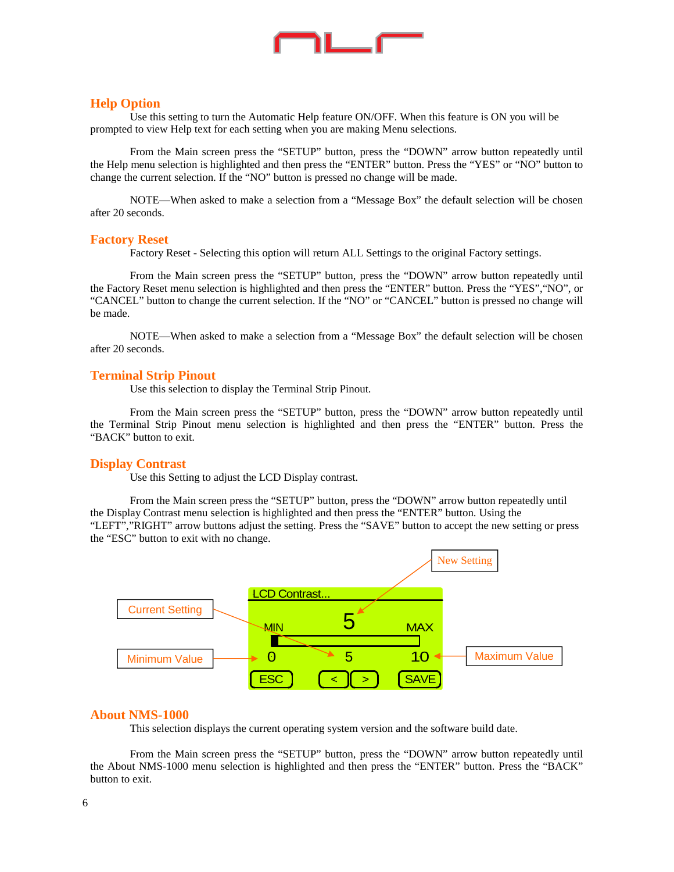

#### **Help Option**

 Use this setting to turn the Automatic Help feature ON/OFF. When this feature is ON you will be prompted to view Help text for each setting when you are making Menu selections.

 From the Main screen press the "SETUP" button, press the "DOWN" arrow button repeatedly until the Help menu selection is highlighted and then press the "ENTER" button. Press the "YES" or "NO" button to change the current selection. If the "NO" button is pressed no change will be made.

 NOTE—When asked to make a selection from a "Message Box" the default selection will be chosen after 20 seconds.

#### **Factory Reset**

Factory Reset - Selecting this option will return ALL Settings to the original Factory settings.

 From the Main screen press the "SETUP" button, press the "DOWN" arrow button repeatedly until the Factory Reset menu selection is highlighted and then press the "ENTER" button. Press the "YES","NO", or "CANCEL" button to change the current selection. If the "NO" or "CANCEL" button is pressed no change will be made.

 NOTE—When asked to make a selection from a "Message Box" the default selection will be chosen after 20 seconds.

#### **Terminal Strip Pinout**

Use this selection to display the Terminal Strip Pinout.

 From the Main screen press the "SETUP" button, press the "DOWN" arrow button repeatedly until the Terminal Strip Pinout menu selection is highlighted and then press the "ENTER" button. Press the "BACK" button to exit.

#### **Display Contrast**

Use this Setting to adjust the LCD Display contrast.

 From the Main screen press the "SETUP" button, press the "DOWN" arrow button repeatedly until the Display Contrast menu selection is highlighted and then press the "ENTER" button. Using the "LEFT","RIGHT" arrow buttons adjust the setting. Press the "SAVE" button to accept the new setting or press the "ESC" button to exit with no change.



#### **About NMS-1000**

This selection displays the current operating system version and the software build date.

 From the Main screen press the "SETUP" button, press the "DOWN" arrow button repeatedly until the About NMS-1000 menu selection is highlighted and then press the "ENTER" button. Press the "BACK" button to exit.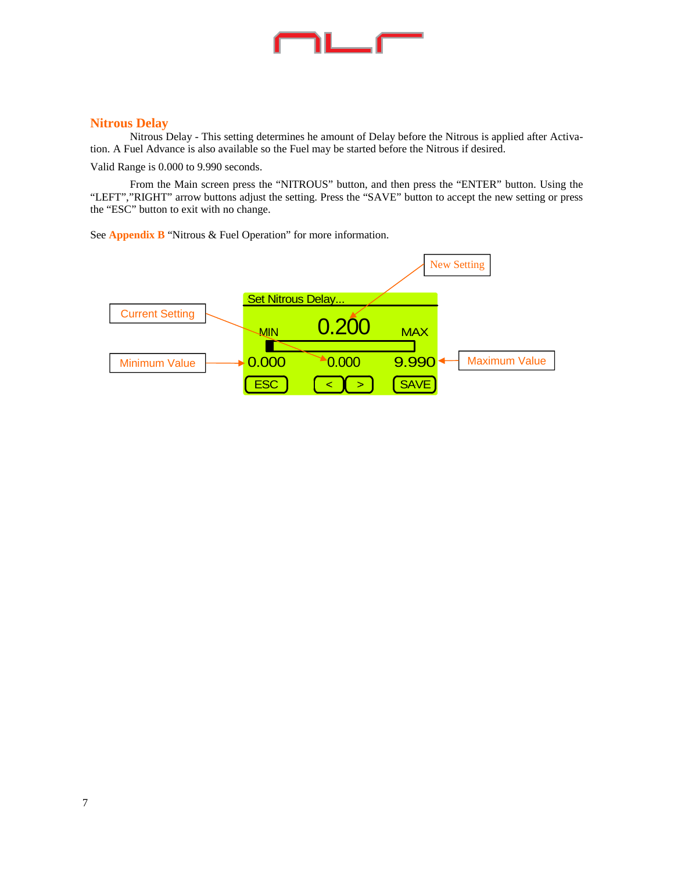# ℩∟▁┌─

#### **Nitrous Delay**

 Nitrous Delay - This setting determines he amount of Delay before the Nitrous is applied after Activation. A Fuel Advance is also available so the Fuel may be started before the Nitrous if desired.

Valid Range is 0.000 to 9.990 seconds.

 From the Main screen press the "NITROUS" button, and then press the "ENTER" button. Using the "LEFT","RIGHT" arrow buttons adjust the setting. Press the "SAVE" button to accept the new setting or press the "ESC" button to exit with no change.

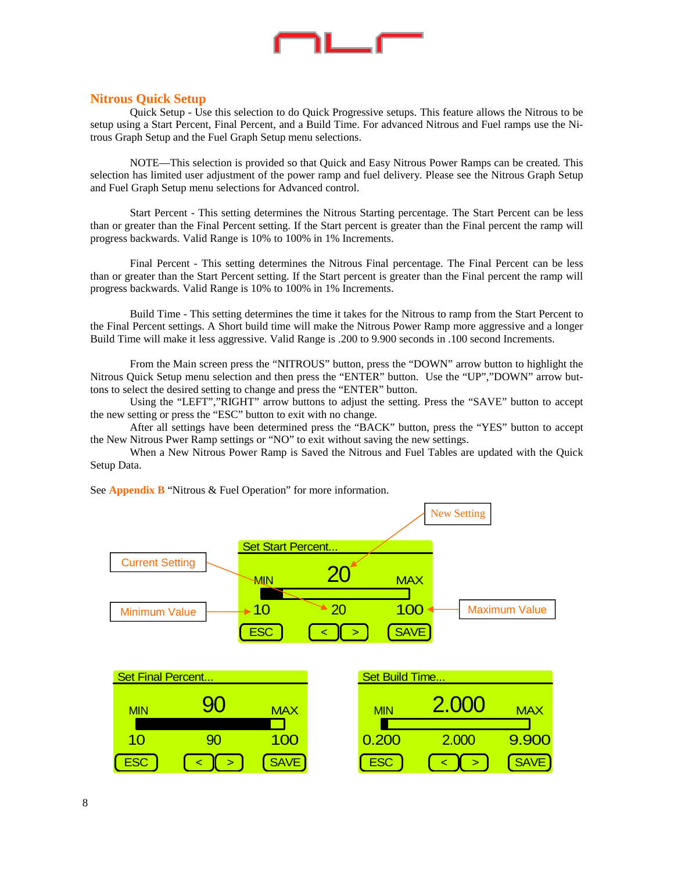

#### **Nitrous Quick Setup**

 Quick Setup - Use this selection to do Quick Progressive setups. This feature allows the Nitrous to be setup using a Start Percent, Final Percent, and a Build Time. For advanced Nitrous and Fuel ramps use the Nitrous Graph Setup and the Fuel Graph Setup menu selections.

 NOTE—This selection is provided so that Quick and Easy Nitrous Power Ramps can be created. This selection has limited user adjustment of the power ramp and fuel delivery. Please see the Nitrous Graph Setup and Fuel Graph Setup menu selections for Advanced control.

 Start Percent - This setting determines the Nitrous Starting percentage. The Start Percent can be less than or greater than the Final Percent setting. If the Start percent is greater than the Final percent the ramp will progress backwards. Valid Range is 10% to 100% in 1% Increments.

 Final Percent - This setting determines the Nitrous Final percentage. The Final Percent can be less than or greater than the Start Percent setting. If the Start percent is greater than the Final percent the ramp will progress backwards. Valid Range is 10% to 100% in 1% Increments.

 Build Time - This setting determines the time it takes for the Nitrous to ramp from the Start Percent to the Final Percent settings. A Short build time will make the Nitrous Power Ramp more aggressive and a longer Build Time will make it less aggressive. Valid Range is .200 to 9.900 seconds in .100 second Increments.

 From the Main screen press the "NITROUS" button, press the "DOWN" arrow button to highlight the Nitrous Quick Setup menu selection and then press the "ENTER" button. Use the "UP","DOWN" arrow buttons to select the desired setting to change and press the "ENTER" button.

 Using the "LEFT","RIGHT" arrow buttons to adjust the setting. Press the "SAVE" button to accept the new setting or press the "ESC" button to exit with no change.

 After all settings have been determined press the "BACK" button, press the "YES" button to accept the New Nitrous Pwer Ramp settings or "NO" to exit without saving the new settings.

 When a New Nitrous Power Ramp is Saved the Nitrous and Fuel Tables are updated with the Quick Setup Data.

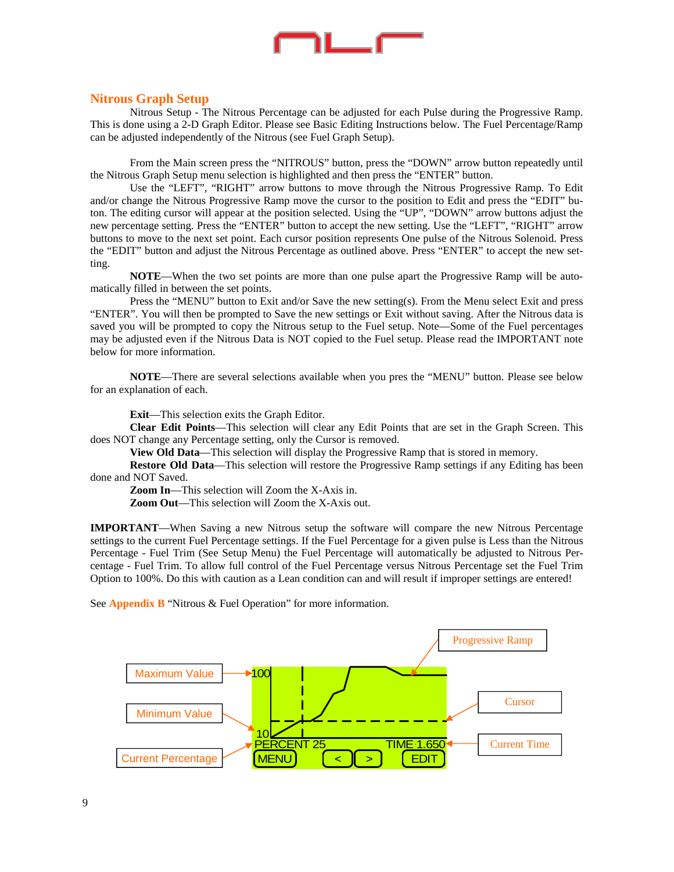

#### **Nitrous Graph Setup**

 Nitrous Setup - The Nitrous Percentage can be adjusted for each Pulse during the Progressive Ramp. This is done using a 2-D Graph Editor. Please see Basic Editing Instructions below. The Fuel Percentage/Ramp can be adjusted independently of the Nitrous (see Fuel Graph Setup).

 From the Main screen press the "NITROUS" button, press the "DOWN" arrow button repeatedly until the Nitrous Graph Setup menu selection is highlighted and then press the "ENTER" button.

 Use the "LEFT", "RIGHT" arrow buttons to move through the Nitrous Progressive Ramp. To Edit and/or change the Nitrous Progressive Ramp move the cursor to the position to Edit and press the "EDIT" buton. The editing cursor will appear at the position selected. Using the "UP", "DOWN" arrow buttons adjust the new percentage setting. Press the "ENTER" button to accept the new setting. Use the "LEFT", "RIGHT" arrow buttons to move to the next set point. Each cursor position represents One pulse of the Nitrous Solenoid. Press the "EDIT" button and adjust the Nitrous Percentage as outlined above. Press "ENTER" to accept the new setting.

**NOTE**—When the two set points are more than one pulse apart the Progressive Ramp will be automatically filled in between the set points.

 Press the "MENU" button to Exit and/or Save the new setting(s). From the Menu select Exit and press "ENTER". You will then be prompted to Save the new settings or Exit without saving. After the Nitrous data is saved you will be prompted to copy the Nitrous setup to the Fuel setup. Note—Some of the Fuel percentages may be adjusted even if the Nitrous Data is NOT copied to the Fuel setup. Please read the IMPORTANT note below for more information.

**NOTE**—There are several selections available when you pres the "MENU" button. Please see below for an explanation of each.

**Exit**—This selection exits the Graph Editor.

**Clear Edit Points**—This selection will clear any Edit Points that are set in the Graph Screen. This does NOT change any Percentage setting, only the Cursor is removed.

**View Old Data**—This selection will display the Progressive Ramp that is stored in memory.

**Restore Old Data**—This selection will restore the Progressive Ramp settings if any Editing has been done and NOT Saved.

**Zoom In**—This selection will Zoom the X-Axis in.

**Zoom Out**—This selection will Zoom the X-Axis out.

**IMPORTANT**—When Saving a new Nitrous setup the software will compare the new Nitrous Percentage settings to the current Fuel Percentage settings. If the Fuel Percentage for a given pulse is Less than the Nitrous Percentage - Fuel Trim (See Setup Menu) the Fuel Percentage will automatically be adjusted to Nitrous Percentage - Fuel Trim. To allow full control of the Fuel Percentage versus Nitrous Percentage set the Fuel Trim Option to 100%. Do this with caution as a Lean condition can and will result if improper settings are entered!

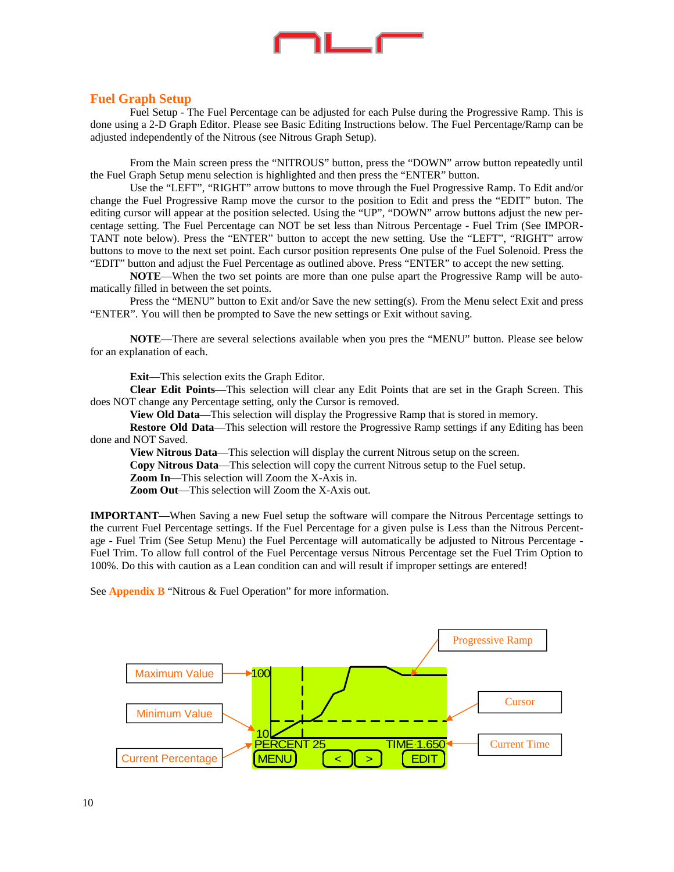

#### **Fuel Graph Setup**

 Fuel Setup - The Fuel Percentage can be adjusted for each Pulse during the Progressive Ramp. This is done using a 2-D Graph Editor. Please see Basic Editing Instructions below. The Fuel Percentage/Ramp can be adjusted independently of the Nitrous (see Nitrous Graph Setup).

 From the Main screen press the "NITROUS" button, press the "DOWN" arrow button repeatedly until the Fuel Graph Setup menu selection is highlighted and then press the "ENTER" button.

 Use the "LEFT", "RIGHT" arrow buttons to move through the Fuel Progressive Ramp. To Edit and/or change the Fuel Progressive Ramp move the cursor to the position to Edit and press the "EDIT" buton. The editing cursor will appear at the position selected. Using the "UP", "DOWN" arrow buttons adjust the new percentage setting. The Fuel Percentage can NOT be set less than Nitrous Percentage - Fuel Trim (See IMPOR-TANT note below). Press the "ENTER" button to accept the new setting. Use the "LEFT", "RIGHT" arrow buttons to move to the next set point. Each cursor position represents One pulse of the Fuel Solenoid. Press the "EDIT" button and adjust the Fuel Percentage as outlined above. Press "ENTER" to accept the new setting.

**NOTE**—When the two set points are more than one pulse apart the Progressive Ramp will be automatically filled in between the set points.

 Press the "MENU" button to Exit and/or Save the new setting(s). From the Menu select Exit and press "ENTER". You will then be prompted to Save the new settings or Exit without saving.

**NOTE**—There are several selections available when you pres the "MENU" button. Please see below for an explanation of each.

**Exit**—This selection exits the Graph Editor.

**Clear Edit Points**—This selection will clear any Edit Points that are set in the Graph Screen. This does NOT change any Percentage setting, only the Cursor is removed.

**View Old Data**—This selection will display the Progressive Ramp that is stored in memory.

**Restore Old Data—This selection will restore the Progressive Ramp settings if any Editing has been** done and NOT Saved.

**View Nitrous Data**—This selection will display the current Nitrous setup on the screen.

**Copy Nitrous Data**—This selection will copy the current Nitrous setup to the Fuel setup.

**Zoom In**—This selection will Zoom the X-Axis in.

**Zoom Out—This selection will Zoom the X-Axis out.** 

**IMPORTANT**—When Saving a new Fuel setup the software will compare the Nitrous Percentage settings to the current Fuel Percentage settings. If the Fuel Percentage for a given pulse is Less than the Nitrous Percentage - Fuel Trim (See Setup Menu) the Fuel Percentage will automatically be adjusted to Nitrous Percentage - Fuel Trim. To allow full control of the Fuel Percentage versus Nitrous Percentage set the Fuel Trim Option to 100%. Do this with caution as a Lean condition can and will result if improper settings are entered!

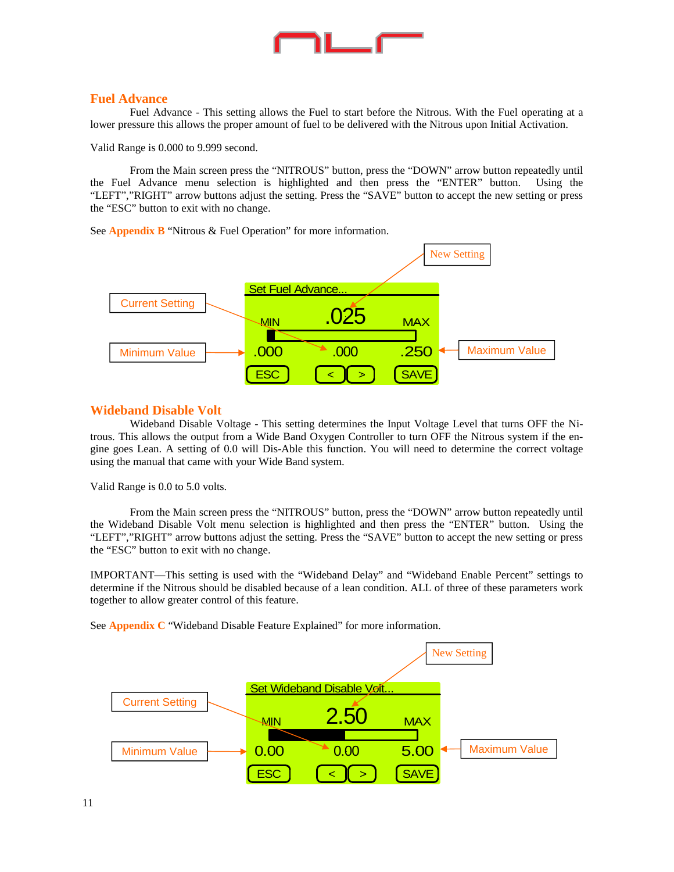

#### **Fuel Advance**

 Fuel Advance - This setting allows the Fuel to start before the Nitrous. With the Fuel operating at a lower pressure this allows the proper amount of fuel to be delivered with the Nitrous upon Initial Activation.

Valid Range is 0.000 to 9.999 second.

 From the Main screen press the "NITROUS" button, press the "DOWN" arrow button repeatedly until the Fuel Advance menu selection is highlighted and then press the "ENTER" button. Using the "LEFT","RIGHT" arrow buttons adjust the setting. Press the "SAVE" button to accept the new setting or press the "ESC" button to exit with no change.

See **Appendix B** "Nitrous & Fuel Operation" for more information.



#### **Wideband Disable Volt**

 Wideband Disable Voltage - This setting determines the Input Voltage Level that turns OFF the Nitrous. This allows the output from a Wide Band Oxygen Controller to turn OFF the Nitrous system if the engine goes Lean. A setting of 0.0 will Dis-Able this function. You will need to determine the correct voltage using the manual that came with your Wide Band system.

Valid Range is 0.0 to 5.0 volts.

 From the Main screen press the "NITROUS" button, press the "DOWN" arrow button repeatedly until the Wideband Disable Volt menu selection is highlighted and then press the "ENTER" button. Using the "LEFT","RIGHT" arrow buttons adjust the setting. Press the "SAVE" button to accept the new setting or press the "ESC" button to exit with no change.

IMPORTANT—This setting is used with the "Wideband Delay" and "Wideband Enable Percent" settings to determine if the Nitrous should be disabled because of a lean condition. ALL of three of these parameters work together to allow greater control of this feature.

See **Appendix C** "Wideband Disable Feature Explained" for more information.

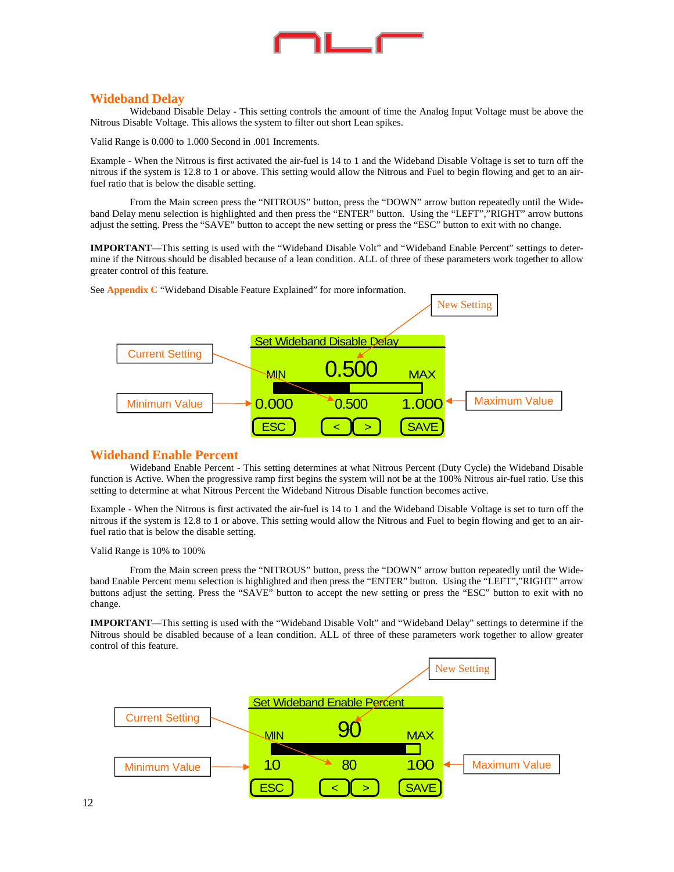

#### **Wideband Delay**

 Wideband Disable Delay - This setting controls the amount of time the Analog Input Voltage must be above the Nitrous Disable Voltage. This allows the system to filter out short Lean spikes.

Valid Range is 0.000 to 1.000 Second in .001 Increments.

Example - When the Nitrous is first activated the air-fuel is 14 to 1 and the Wideband Disable Voltage is set to turn off the nitrous if the system is 12.8 to 1 or above. This setting would allow the Nitrous and Fuel to begin flowing and get to an airfuel ratio that is below the disable setting.

 From the Main screen press the "NITROUS" button, press the "DOWN" arrow button repeatedly until the Wideband Delay menu selection is highlighted and then press the "ENTER" button. Using the "LEFT","RIGHT" arrow buttons adjust the setting. Press the "SAVE" button to accept the new setting or press the "ESC" button to exit with no change.

**IMPORTANT**—This setting is used with the "Wideband Disable Volt" and "Wideband Enable Percent" settings to determine if the Nitrous should be disabled because of a lean condition. ALL of three of these parameters work together to allow greater control of this feature.



See **Appendix C** "Wideband Disable Feature Explained" for more information.

#### **Wideband Enable Percent**

 Wideband Enable Percent - This setting determines at what Nitrous Percent (Duty Cycle) the Wideband Disable function is Active. When the progressive ramp first begins the system will not be at the 100% Nitrous air-fuel ratio. Use this setting to determine at what Nitrous Percent the Wideband Nitrous Disable function becomes active.

Example - When the Nitrous is first activated the air-fuel is 14 to 1 and the Wideband Disable Voltage is set to turn off the nitrous if the system is 12.8 to 1 or above. This setting would allow the Nitrous and Fuel to begin flowing and get to an airfuel ratio that is below the disable setting.

Valid Range is 10% to 100%

 From the Main screen press the "NITROUS" button, press the "DOWN" arrow button repeatedly until the Wideband Enable Percent menu selection is highlighted and then press the "ENTER" button. Using the "LEFT","RIGHT" arrow buttons adjust the setting. Press the "SAVE" button to accept the new setting or press the "ESC" button to exit with no change.

**IMPORTANT**—This setting is used with the "Wideband Disable Volt" and "Wideband Delay" settings to determine if the Nitrous should be disabled because of a lean condition. ALL of three of these parameters work together to allow greater control of this feature.

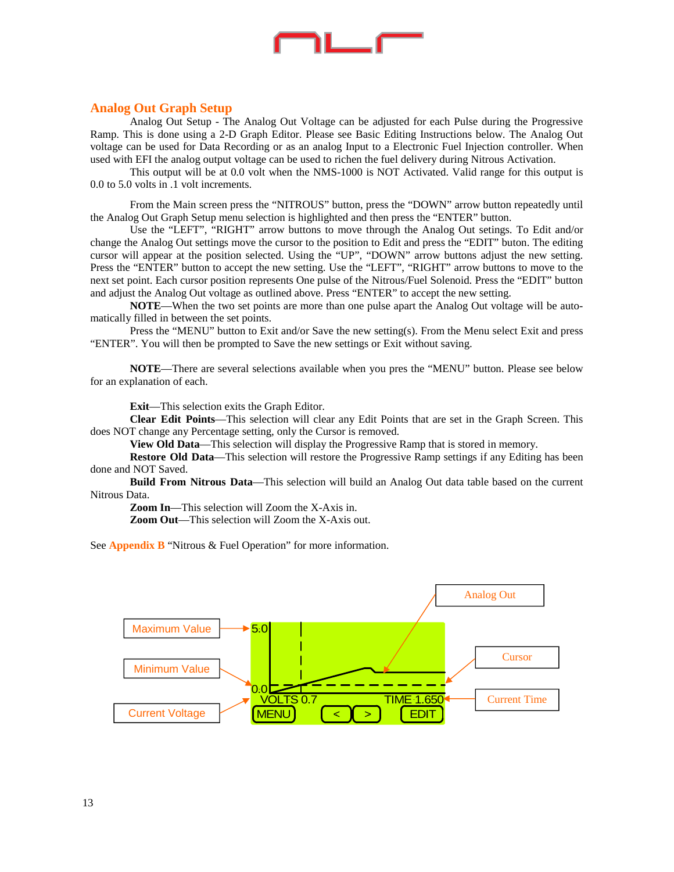

#### **Analog Out Graph Setup**

 Analog Out Setup - The Analog Out Voltage can be adjusted for each Pulse during the Progressive Ramp. This is done using a 2-D Graph Editor. Please see Basic Editing Instructions below. The Analog Out voltage can be used for Data Recording or as an analog Input to a Electronic Fuel Injection controller. When used with EFI the analog output voltage can be used to richen the fuel delivery during Nitrous Activation.

 This output will be at 0.0 volt when the NMS-1000 is NOT Activated. Valid range for this output is 0.0 to 5.0 volts in .1 volt increments.

 From the Main screen press the "NITROUS" button, press the "DOWN" arrow button repeatedly until the Analog Out Graph Setup menu selection is highlighted and then press the "ENTER" button.

 Use the "LEFT", "RIGHT" arrow buttons to move through the Analog Out setings. To Edit and/or change the Analog Out settings move the cursor to the position to Edit and press the "EDIT" buton. The editing cursor will appear at the position selected. Using the "UP", "DOWN" arrow buttons adjust the new setting. Press the "ENTER" button to accept the new setting. Use the "LEFT", "RIGHT" arrow buttons to move to the next set point. Each cursor position represents One pulse of the Nitrous/Fuel Solenoid. Press the "EDIT" button and adjust the Analog Out voltage as outlined above. Press "ENTER" to accept the new setting.

**NOTE**—When the two set points are more than one pulse apart the Analog Out voltage will be automatically filled in between the set points.

 Press the "MENU" button to Exit and/or Save the new setting(s). From the Menu select Exit and press "ENTER". You will then be prompted to Save the new settings or Exit without saving.

**NOTE**—There are several selections available when you pres the "MENU" button. Please see below for an explanation of each.

**Exit**—This selection exits the Graph Editor.

**Clear Edit Points**—This selection will clear any Edit Points that are set in the Graph Screen. This does NOT change any Percentage setting, only the Cursor is removed.

**View Old Data**—This selection will display the Progressive Ramp that is stored in memory.

**Restore Old Data**—This selection will restore the Progressive Ramp settings if any Editing has been done and NOT Saved.

**Build From Nitrous Data**—This selection will build an Analog Out data table based on the current Nitrous Data.

**Zoom In**—This selection will Zoom the X-Axis in. **Zoom Out**—This selection will Zoom the X-Axis out.

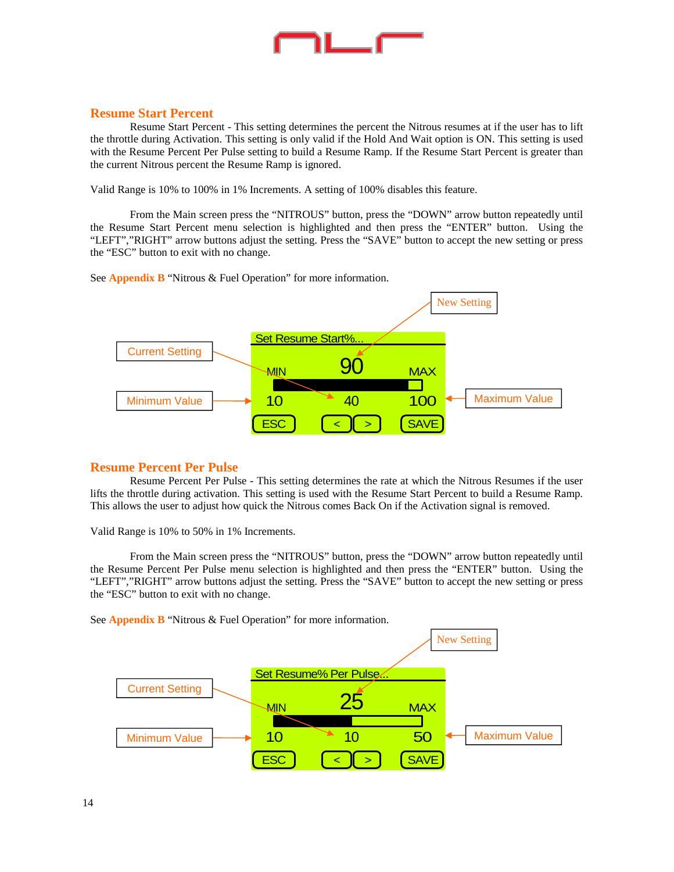

#### **Resume Start Percent**

 Resume Start Percent - This setting determines the percent the Nitrous resumes at if the user has to lift the throttle during Activation. This setting is only valid if the Hold And Wait option is ON. This setting is used with the Resume Percent Per Pulse setting to build a Resume Ramp. If the Resume Start Percent is greater than the current Nitrous percent the Resume Ramp is ignored.

Valid Range is 10% to 100% in 1% Increments. A setting of 100% disables this feature.

 From the Main screen press the "NITROUS" button, press the "DOWN" arrow button repeatedly until the Resume Start Percent menu selection is highlighted and then press the "ENTER" button. Using the "LEFT","RIGHT" arrow buttons adjust the setting. Press the "SAVE" button to accept the new setting or press the "ESC" button to exit with no change.

See **Appendix B** "Nitrous & Fuel Operation" for more information.



#### **Resume Percent Per Pulse**

 Resume Percent Per Pulse - This setting determines the rate at which the Nitrous Resumes if the user lifts the throttle during activation. This setting is used with the Resume Start Percent to build a Resume Ramp. This allows the user to adjust how quick the Nitrous comes Back On if the Activation signal is removed.

Valid Range is 10% to 50% in 1% Increments.

 From the Main screen press the "NITROUS" button, press the "DOWN" arrow button repeatedly until the Resume Percent Per Pulse menu selection is highlighted and then press the "ENTER" button. Using the "LEFT","RIGHT" arrow buttons adjust the setting. Press the "SAVE" button to accept the new setting or press the "ESC" button to exit with no change.

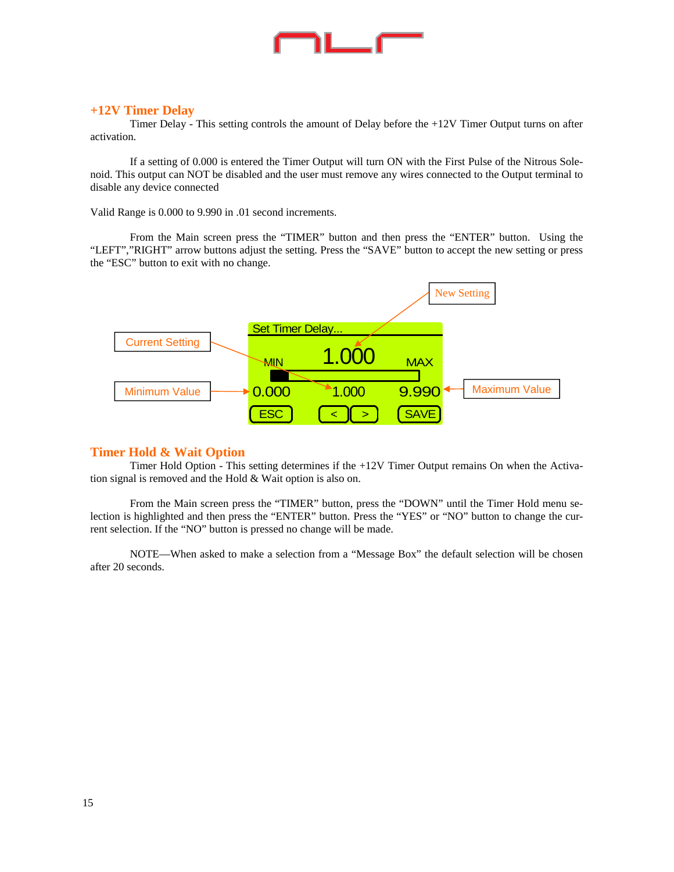#### **+12V Timer Delay**

 Timer Delay - This setting controls the amount of Delay before the +12V Timer Output turns on after activation.

 If a setting of 0.000 is entered the Timer Output will turn ON with the First Pulse of the Nitrous Solenoid. This output can NOT be disabled and the user must remove any wires connected to the Output terminal to disable any device connected

Valid Range is 0.000 to 9.990 in .01 second increments.

 From the Main screen press the "TIMER" button and then press the "ENTER" button. Using the "LEFT","RIGHT" arrow buttons adjust the setting. Press the "SAVE" button to accept the new setting or press the "ESC" button to exit with no change.



#### **Timer Hold & Wait Option**

 Timer Hold Option - This setting determines if the +12V Timer Output remains On when the Activation signal is removed and the Hold & Wait option is also on.

 From the Main screen press the "TIMER" button, press the "DOWN" until the Timer Hold menu selection is highlighted and then press the "ENTER" button. Press the "YES" or "NO" button to change the current selection. If the "NO" button is pressed no change will be made.

 NOTE—When asked to make a selection from a "Message Box" the default selection will be chosen after 20 seconds.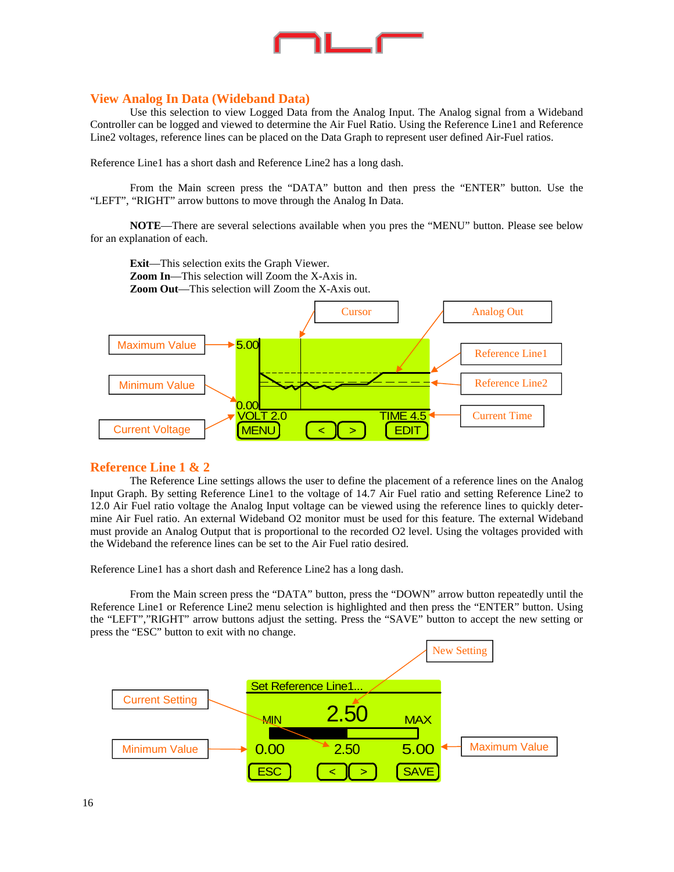

#### **View Analog In Data (Wideband Data)**

 Use this selection to view Logged Data from the Analog Input. The Analog signal from a Wideband Controller can be logged and viewed to determine the Air Fuel Ratio. Using the Reference Line1 and Reference Line2 voltages, reference lines can be placed on the Data Graph to represent user defined Air-Fuel ratios.

Reference Line1 has a short dash and Reference Line2 has a long dash.

 From the Main screen press the "DATA" button and then press the "ENTER" button. Use the "LEFT", "RIGHT" arrow buttons to move through the Analog In Data.

**NOTE**—There are several selections available when you pres the "MENU" button. Please see below for an explanation of each.

**Exit**—This selection exits the Graph Viewer. **Zoom In**—This selection will Zoom the X-Axis in. **Zoom Out**—This selection will Zoom the X-Axis out.



#### **Reference Line 1 & 2**

 The Reference Line settings allows the user to define the placement of a reference lines on the Analog Input Graph. By setting Reference Line1 to the voltage of 14.7 Air Fuel ratio and setting Reference Line2 to 12.0 Air Fuel ratio voltage the Analog Input voltage can be viewed using the reference lines to quickly determine Air Fuel ratio. An external Wideband O2 monitor must be used for this feature. The external Wideband must provide an Analog Output that is proportional to the recorded O2 level. Using the voltages provided with the Wideband the reference lines can be set to the Air Fuel ratio desired.

Reference Line1 has a short dash and Reference Line2 has a long dash.

 From the Main screen press the "DATA" button, press the "DOWN" arrow button repeatedly until the Reference Line1 or Reference Line2 menu selection is highlighted and then press the "ENTER" button. Using the "LEFT","RIGHT" arrow buttons adjust the setting. Press the "SAVE" button to accept the new setting or press the "ESC" button to exit with no change.

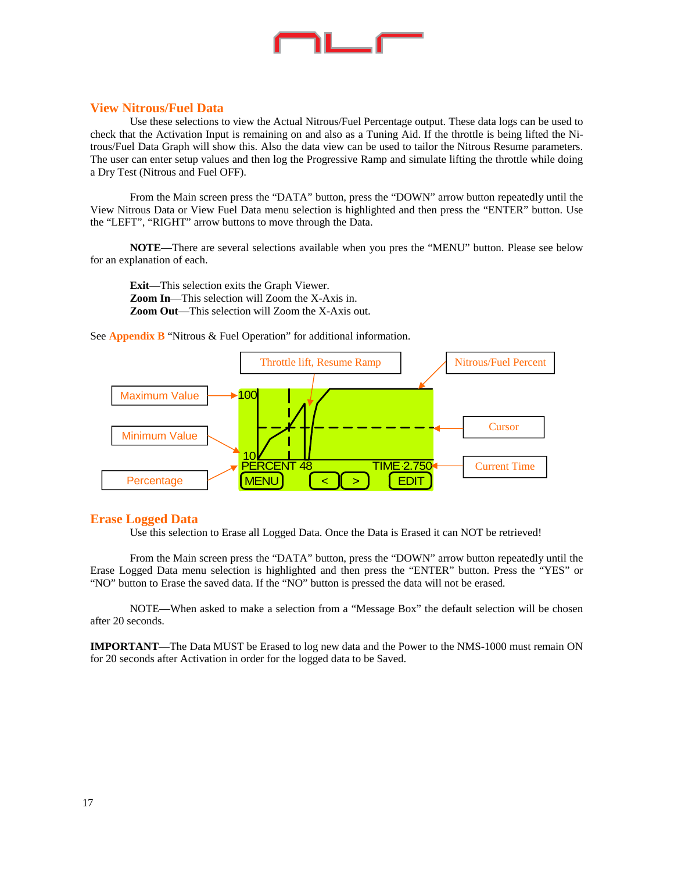

#### **View Nitrous/Fuel Data**

 Use these selections to view the Actual Nitrous/Fuel Percentage output. These data logs can be used to check that the Activation Input is remaining on and also as a Tuning Aid. If the throttle is being lifted the Nitrous/Fuel Data Graph will show this. Also the data view can be used to tailor the Nitrous Resume parameters. The user can enter setup values and then log the Progressive Ramp and simulate lifting the throttle while doing a Dry Test (Nitrous and Fuel OFF).

 From the Main screen press the "DATA" button, press the "DOWN" arrow button repeatedly until the View Nitrous Data or View Fuel Data menu selection is highlighted and then press the "ENTER" button. Use the "LEFT", "RIGHT" arrow buttons to move through the Data.

**NOTE**—There are several selections available when you pres the "MENU" button. Please see below for an explanation of each.

**Exit**—This selection exits the Graph Viewer. **Zoom In**—This selection will Zoom the X-Axis in. **Zoom Out**—This selection will Zoom the X-Axis out.

See **Appendix B** "Nitrous & Fuel Operation" for additional information.



#### **Erase Logged Data**

Use this selection to Erase all Logged Data. Once the Data is Erased it can NOT be retrieved!

 From the Main screen press the "DATA" button, press the "DOWN" arrow button repeatedly until the Erase Logged Data menu selection is highlighted and then press the "ENTER" button. Press the "YES" or "NO" button to Erase the saved data. If the "NO" button is pressed the data will not be erased.

 NOTE—When asked to make a selection from a "Message Box" the default selection will be chosen after 20 seconds.

**IMPORTANT**—The Data MUST be Erased to log new data and the Power to the NMS-1000 must remain ON for 20 seconds after Activation in order for the logged data to be Saved.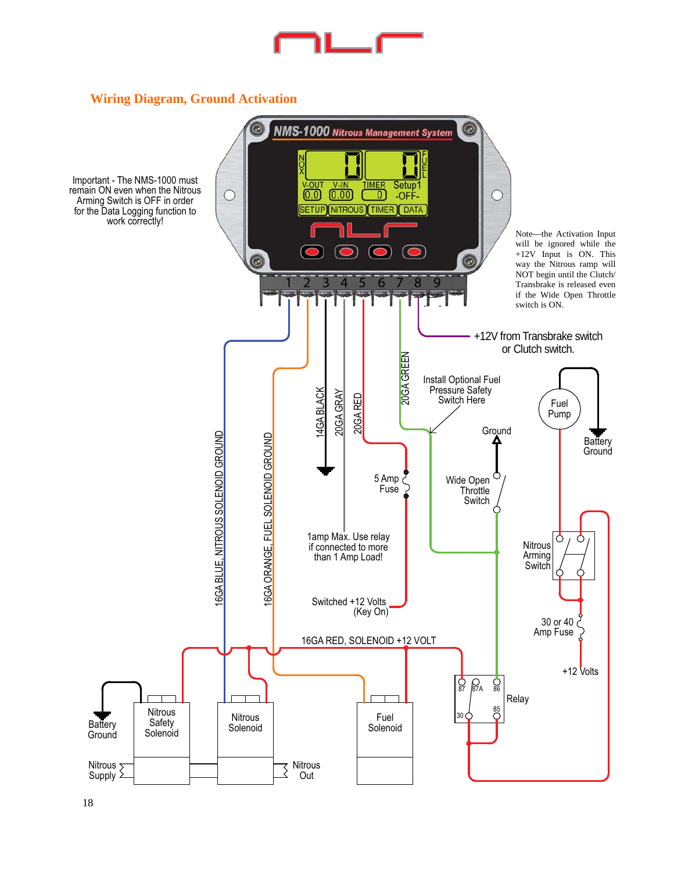

### **Wiring Diagram, Ground Activation**

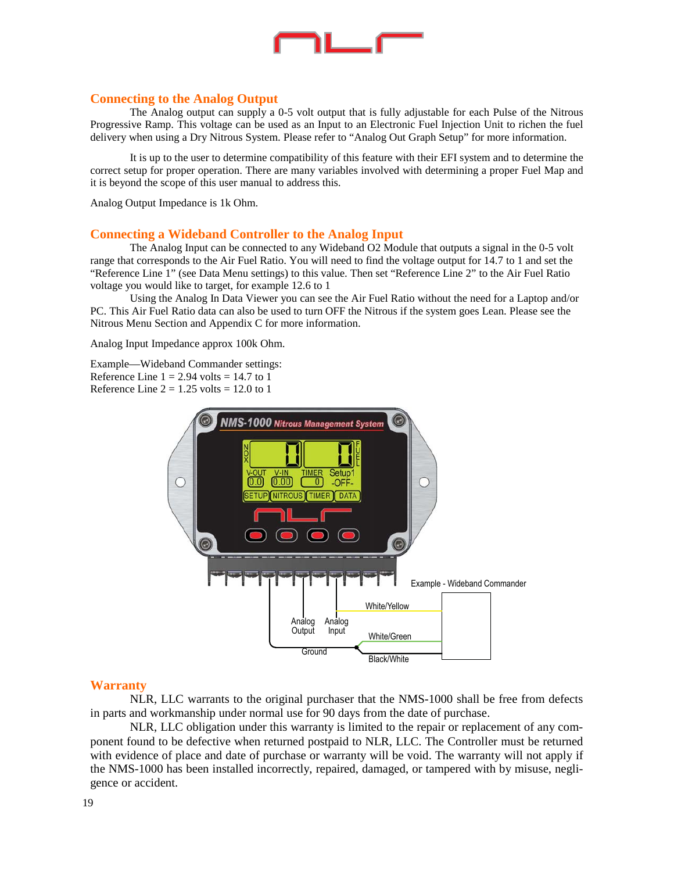

#### **Connecting to the Analog Output**

 The Analog output can supply a 0-5 volt output that is fully adjustable for each Pulse of the Nitrous Progressive Ramp. This voltage can be used as an Input to an Electronic Fuel Injection Unit to richen the fuel delivery when using a Dry Nitrous System. Please refer to "Analog Out Graph Setup" for more information.

 It is up to the user to determine compatibility of this feature with their EFI system and to determine the correct setup for proper operation. There are many variables involved with determining a proper Fuel Map and it is beyond the scope of this user manual to address this.

Analog Output Impedance is 1k Ohm.

#### **Connecting a Wideband Controller to the Analog Input**

 The Analog Input can be connected to any Wideband O2 Module that outputs a signal in the 0-5 volt range that corresponds to the Air Fuel Ratio. You will need to find the voltage output for 14.7 to 1 and set the "Reference Line 1" (see Data Menu settings) to this value. Then set "Reference Line 2" to the Air Fuel Ratio voltage you would like to target, for example 12.6 to 1

 Using the Analog In Data Viewer you can see the Air Fuel Ratio without the need for a Laptop and/or PC. This Air Fuel Ratio data can also be used to turn OFF the Nitrous if the system goes Lean. Please see the Nitrous Menu Section and Appendix C for more information.

Analog Input Impedance approx 100k Ohm.

Example—Wideband Commander settings: Reference Line  $1 = 2.94$  volts = 14.7 to 1 Reference Line  $2 = 1.25$  volts = 12.0 to 1



#### **Warranty**

 NLR, LLC warrants to the original purchaser that the NMS-1000 shall be free from defects in parts and workmanship under normal use for 90 days from the date of purchase.

 NLR, LLC obligation under this warranty is limited to the repair or replacement of any component found to be defective when returned postpaid to NLR, LLC. The Controller must be returned with evidence of place and date of purchase or warranty will be void. The warranty will not apply if the NMS-1000 has been installed incorrectly, repaired, damaged, or tampered with by misuse, negligence or accident.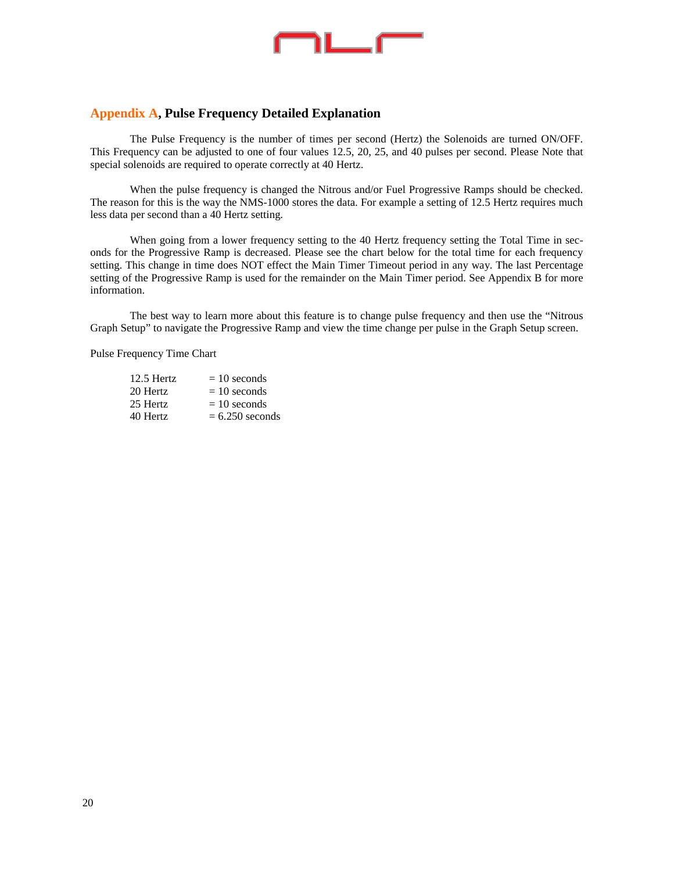

#### **Appendix A, Pulse Frequency Detailed Explanation**

 The Pulse Frequency is the number of times per second (Hertz) the Solenoids are turned ON/OFF. This Frequency can be adjusted to one of four values 12.5, 20, 25, and 40 pulses per second. Please Note that special solenoids are required to operate correctly at 40 Hertz.

 When the pulse frequency is changed the Nitrous and/or Fuel Progressive Ramps should be checked. The reason for this is the way the NMS-1000 stores the data. For example a setting of 12.5 Hertz requires much less data per second than a 40 Hertz setting.

When going from a lower frequency setting to the 40 Hertz frequency setting the Total Time in seconds for the Progressive Ramp is decreased. Please see the chart below for the total time for each frequency setting. This change in time does NOT effect the Main Timer Timeout period in any way. The last Percentage setting of the Progressive Ramp is used for the remainder on the Main Timer period. See Appendix B for more information.

 The best way to learn more about this feature is to change pulse frequency and then use the "Nitrous Graph Setup" to navigate the Progressive Ramp and view the time change per pulse in the Graph Setup screen.

Pulse Frequency Time Chart

| $12.5$ Hertz | $= 10$ seconds    |
|--------------|-------------------|
| 20 Hertz     | $= 10$ seconds    |
| 25 Hertz     | $= 10$ seconds    |
| 40 Hertz     | $= 6.250$ seconds |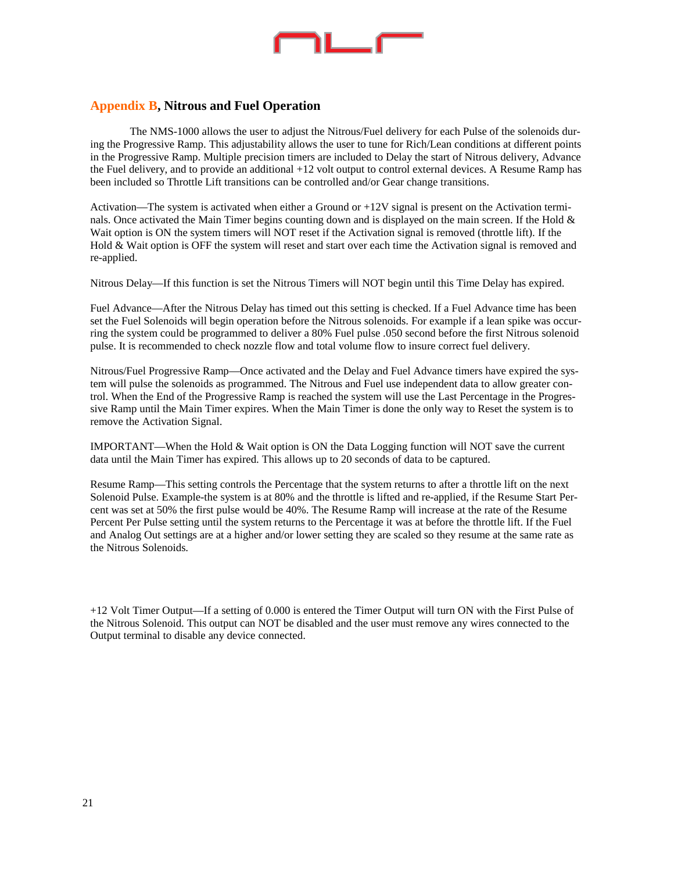

### **Appendix B, Nitrous and Fuel Operation**

 The NMS-1000 allows the user to adjust the Nitrous/Fuel delivery for each Pulse of the solenoids during the Progressive Ramp. This adjustability allows the user to tune for Rich/Lean conditions at different points in the Progressive Ramp. Multiple precision timers are included to Delay the start of Nitrous delivery, Advance the Fuel delivery, and to provide an additional +12 volt output to control external devices. A Resume Ramp has been included so Throttle Lift transitions can be controlled and/or Gear change transitions.

Activation—The system is activated when either a Ground or +12V signal is present on the Activation terminals. Once activated the Main Timer begins counting down and is displayed on the main screen. If the Hold & Wait option is ON the system timers will NOT reset if the Activation signal is removed (throttle lift). If the Hold & Wait option is OFF the system will reset and start over each time the Activation signal is removed and re-applied.

Nitrous Delay—If this function is set the Nitrous Timers will NOT begin until this Time Delay has expired.

Fuel Advance—After the Nitrous Delay has timed out this setting is checked. If a Fuel Advance time has been set the Fuel Solenoids will begin operation before the Nitrous solenoids. For example if a lean spike was occurring the system could be programmed to deliver a 80% Fuel pulse .050 second before the first Nitrous solenoid pulse. It is recommended to check nozzle flow and total volume flow to insure correct fuel delivery.

Nitrous/Fuel Progressive Ramp—Once activated and the Delay and Fuel Advance timers have expired the system will pulse the solenoids as programmed. The Nitrous and Fuel use independent data to allow greater control. When the End of the Progressive Ramp is reached the system will use the Last Percentage in the Progressive Ramp until the Main Timer expires. When the Main Timer is done the only way to Reset the system is to remove the Activation Signal.

IMPORTANT—When the Hold & Wait option is ON the Data Logging function will NOT save the current data until the Main Timer has expired. This allows up to 20 seconds of data to be captured.

Resume Ramp—This setting controls the Percentage that the system returns to after a throttle lift on the next Solenoid Pulse. Example-the system is at 80% and the throttle is lifted and re-applied, if the Resume Start Percent was set at 50% the first pulse would be 40%. The Resume Ramp will increase at the rate of the Resume Percent Per Pulse setting until the system returns to the Percentage it was at before the throttle lift. If the Fuel and Analog Out settings are at a higher and/or lower setting they are scaled so they resume at the same rate as the Nitrous Solenoids.

+12 Volt Timer Output—If a setting of 0.000 is entered the Timer Output will turn ON with the First Pulse of the Nitrous Solenoid. This output can NOT be disabled and the user must remove any wires connected to the Output terminal to disable any device connected.